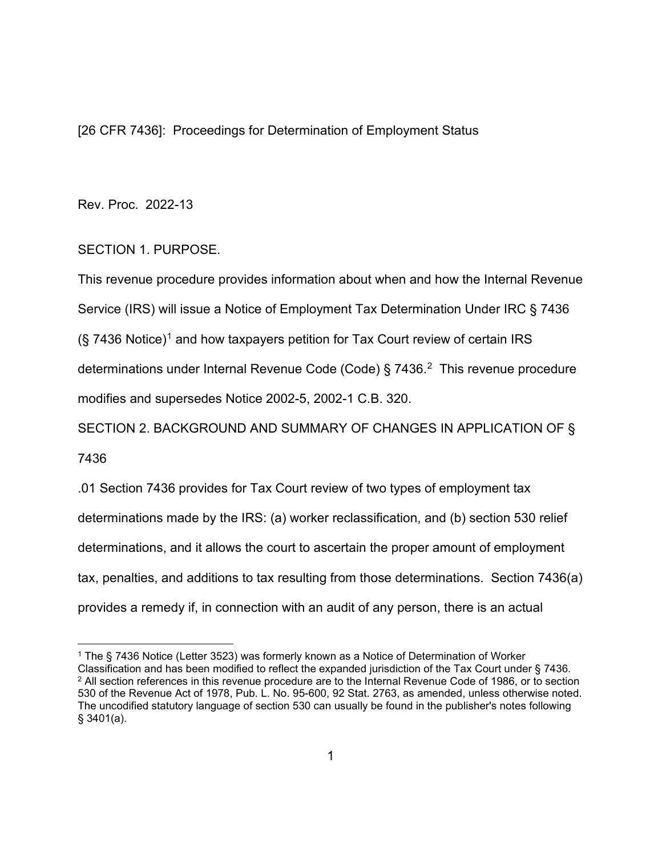[26 CFR 7436]: Proceedings for Determination of Employment Status

Rev. Proc. 2022-13

# SECTION 1. PURPOSE.

This revenue procedure provides information about when and how the Internal Revenue Service (IRS) will issue a Notice of Employment Tax Determination Under IRC § 7436  $(S, 7436$  Notice)<sup>[1](#page-0-0)</sup> and how taxpayers petition for Tax Court review of certain IRS determinations under Internal Revenue Code (Code) § 7436.<sup>2</sup> This revenue procedure modifies and supersedes Notice 2002-5, 2002-1 C.B. 320.

SECTION 2. BACKGROUND AND SUMMARY OF CHANGES IN APPLICATION OF §

7436

.01 Section 7436 provides for Tax Court review of two types of employment tax determinations made by the IRS: (a) worker reclassification, and (b) section 530 relief determinations, and it allows the court to ascertain the proper amount of employment tax, penalties, and additions to tax resulting from those determinations. Section 7436(a) provides a remedy if, in connection with an audit of any person, there is an actual

<span id="page-0-1"></span><span id="page-0-0"></span><sup>1</sup> The § 7436 Notice (Letter 3523) was formerly known as a Notice of Determination of Worker Classification and has been modified to reflect the expanded jurisdiction of the Tax Court under § 7436. <sup>2</sup> All section references in this revenue procedure are to the Internal Revenue Code of 1986, or to section 530 of the Revenue Act of 1978, Pub. L. No. 95-600, 92 Stat. 2763, as amended, unless otherwise noted. The uncodified statutory language of section 530 can usually be found in the publisher's notes following § 3401(a).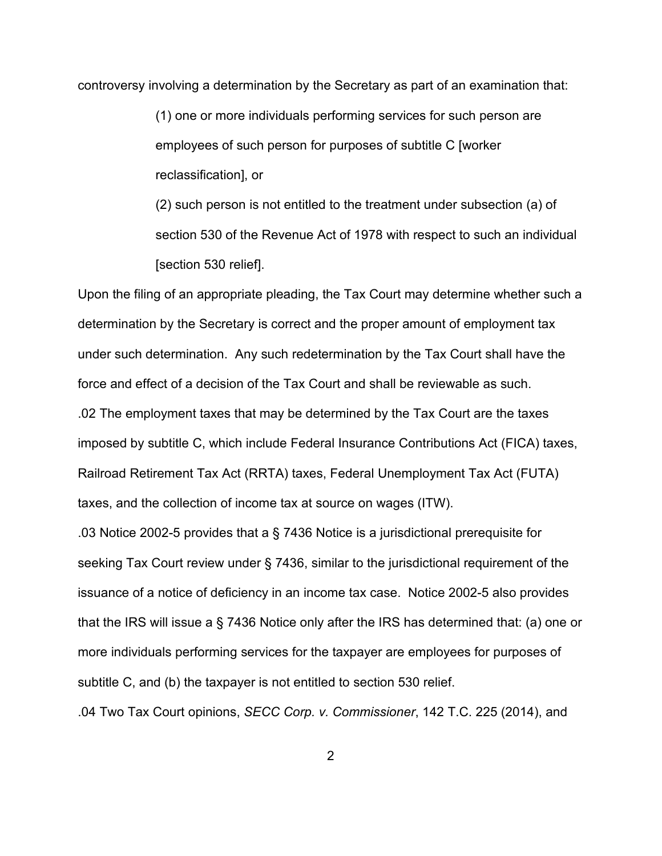controversy involving a determination by the Secretary as part of an examination that:

(1) one or more individuals performing services for such person are employees of such person for purposes of subtitle C [worker reclassification], or

(2) such person is not entitled to the treatment under subsection (a) of section 530 of the Revenue Act of 1978 with respect to such an individual [section 530 relief].

Upon the filing of an appropriate pleading, the Tax Court may determine whether such a determination by the Secretary is correct and the proper amount of employment tax under such determination. Any such redetermination by the Tax Court shall have the force and effect of a decision of the Tax Court and shall be reviewable as such. .02 The employment taxes that may be determined by the Tax Court are the taxes imposed by subtitle C, which include Federal Insurance Contributions Act (FICA) taxes, Railroad Retirement Tax Act (RRTA) taxes, Federal Unemployment Tax Act (FUTA) taxes, and the collection of income tax at source on wages (ITW).

.03 Notice 2002-5 provides that a § 7436 Notice is a jurisdictional prerequisite for seeking Tax Court review under § 7436, similar to the jurisdictional requirement of the issuance of a notice of deficiency in an income tax case. Notice 2002-5 also provides that the IRS will issue a § 7436 Notice only after the IRS has determined that: (a) one or more individuals performing services for the taxpayer are employees for purposes of subtitle C, and (b) the taxpayer is not entitled to section 530 relief.

.04 Two Tax Court opinions, *SECC Corp. v. Commissioner*[, 142 T.C. 225 \(2014\),](https://advance.lexis.com/api/document?collection=cases&id=urn:contentItem:5BWX-CPK1-F04K-5003-00000-00&context=) and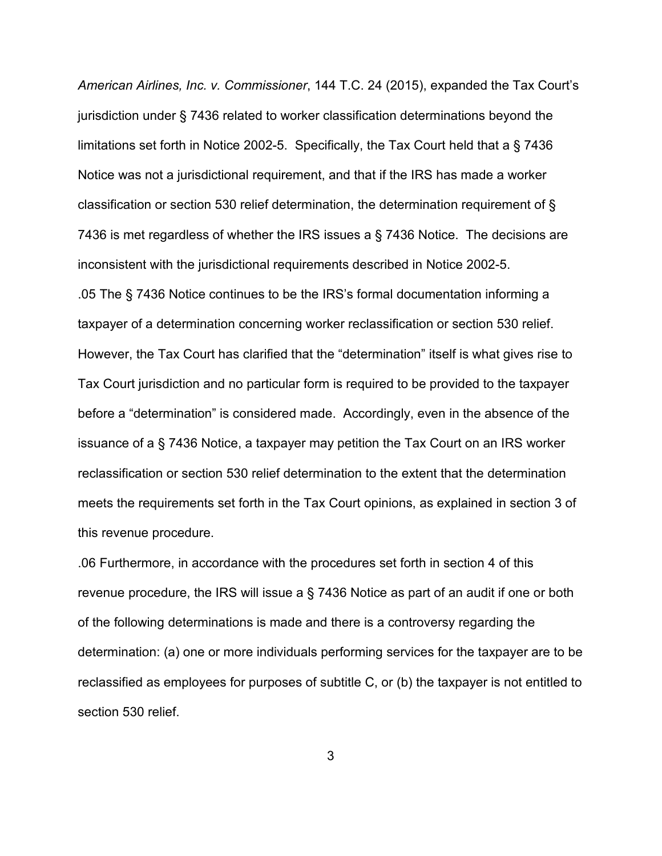*American Airlines, Inc. v. Commissioner*[, 144 T.C. 24 \(2015\),](https://advance.lexis.com/api/document?collection=cases&id=urn:contentItem:5F2P-SKH1-F04K-5015-00000-00&context=) expanded the Tax Court's jurisdiction under § 7436 related to worker classification determinations beyond the limitations set forth in Notice 2002-5. Specifically, the Tax Court held that a § 7436 Notice was not a jurisdictional requirement, and that if the IRS has made a worker classification or section 530 relief determination, the determination requirement of § 7436 is met regardless of whether the IRS issues a § 7436 Notice. The decisions are inconsistent with the jurisdictional requirements described in Notice 2002-5. .05 The § 7436 Notice continues to be the IRS's formal documentation informing a taxpayer of a determination concerning worker reclassification or section 530 relief. However, the Tax Court has clarified that the "determination" itself is what gives rise to Tax Court jurisdiction and no particular form is required to be provided to the taxpayer before a "determination" is considered made. Accordingly, even in the absence of the issuance of a § 7436 Notice, a taxpayer may petition the Tax Court on an IRS worker reclassification or section 530 relief determination to the extent that the determination meets the requirements set forth in the Tax Court opinions, as explained in section 3 of this revenue procedure.

.06 Furthermore, in accordance with the procedures set forth in section 4 of this revenue procedure, the IRS will issue a § 7436 Notice as part of an audit if one or both of the following determinations is made and there is a controversy regarding the determination: (a) one or more individuals performing services for the taxpayer are to be reclassified as employees for purposes of subtitle C, or (b) the taxpayer is not entitled to section 530 relief.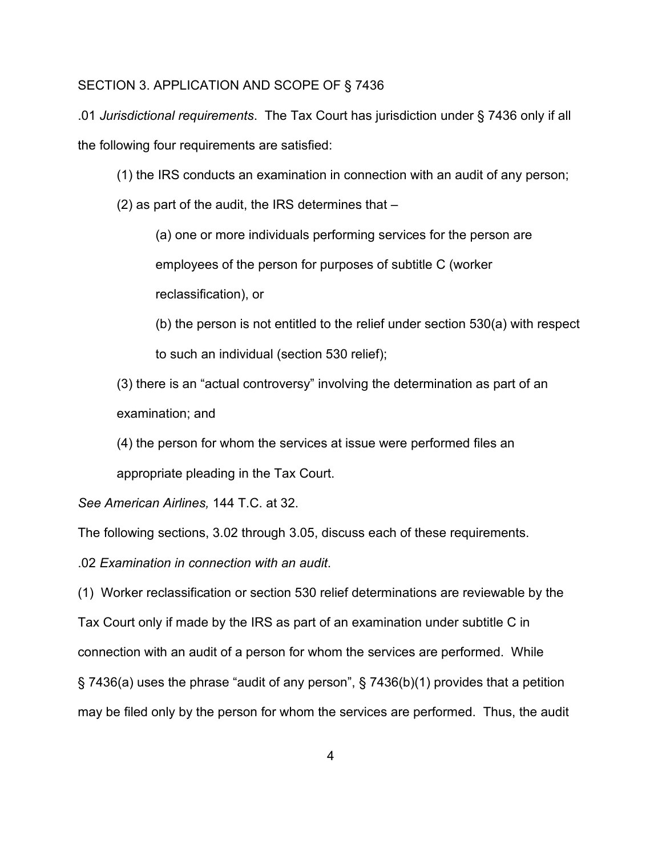### SECTION 3. APPLICATION AND SCOPE OF § 7436

.01 *Jurisdictional requirements*. The Tax Court has jurisdiction under § 7436 only if all the following four requirements are satisfied:

- (1) the IRS conducts an examination in connection with an audit of any person;
- (2) as part of the audit, the IRS determines that –

(a) one or more individuals performing services for the person are employees of the person for purposes of subtitle C (worker reclassification), or

(b) the person is not entitled to the relief under section 530(a) with respect to such an individual (section 530 relief);

(3) there is an "actual controversy" involving the determination as part of an examination; and

(4) the person for whom the services at issue were performed files an appropriate pleading in the Tax Court.

*See American Airlines,* 144 T.C. at 32.

The following sections, 3.02 through 3.05, discuss each of these requirements.

.02 *Examination in connection with an audit*.

(1) Worker reclassification or section 530 relief determinations are reviewable by the Tax Court only if made by the IRS as part of an examination under subtitle C in connection with an audit of a person for whom the services are performed. While § 7436(a) uses the phrase "audit of any person", § 7436(b)(1) provides that a petition may be filed only by the person for whom the services are performed. Thus, the audit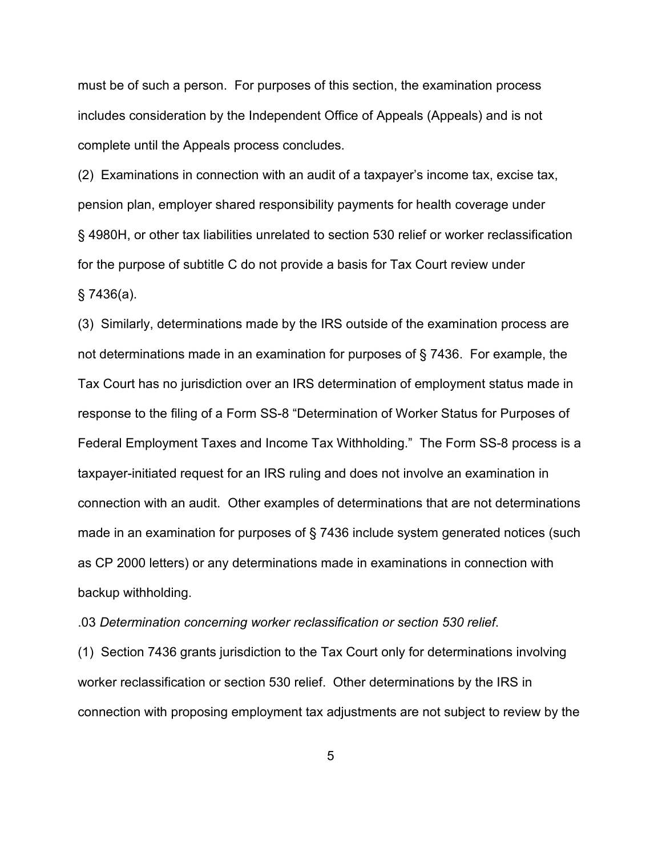must be of such a person. For purposes of this section, the examination process includes consideration by the Independent Office of Appeals (Appeals) and is not complete until the Appeals process concludes.

(2) Examinations in connection with an audit of a taxpayer's income tax, excise tax, pension plan, employer shared responsibility payments for health coverage under § 4980H, or other tax liabilities unrelated to section 530 relief or worker reclassification for the purpose of subtitle C do not provide a basis for Tax Court review under § 7436(a).

(3) Similarly, determinations made by the IRS outside of the examination process are not determinations made in an examination for purposes of § 7436. For example, the Tax Court has no jurisdiction over an IRS determination of employment status made in response to the filing of a Form SS-8 "Determination of Worker Status for Purposes of Federal Employment Taxes and Income Tax Withholding." The Form SS-8 process is a taxpayer-initiated request for an IRS ruling and does not involve an examination in connection with an audit. Other examples of determinations that are not determinations made in an examination for purposes of § 7436 include system generated notices (such as CP 2000 letters) or any determinations made in examinations in connection with backup withholding.

.03 *Determination concerning worker reclassification or section 530 relief*.

(1) Section 7436 grants jurisdiction to the Tax Court only for determinations involving worker reclassification or section 530 relief. Other determinations by the IRS in connection with proposing employment tax adjustments are not subject to review by the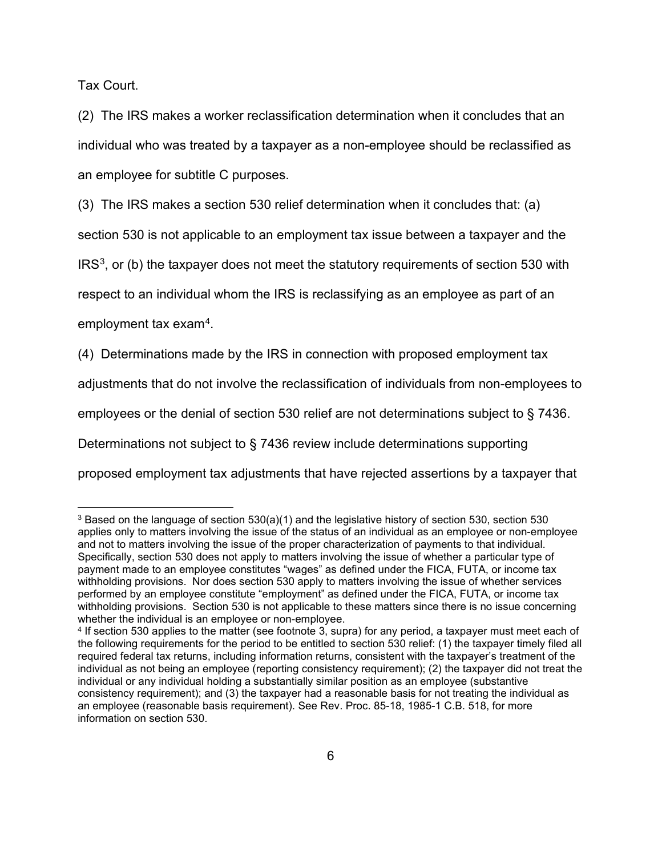Tax Court.

(2) The IRS makes a worker reclassification determination when it concludes that an individual who was treated by a taxpayer as a non-employee should be reclassified as an employee for subtitle C purposes.

(3) The IRS makes a section 530 relief determination when it concludes that: (a)

section 530 is not applicable to an employment tax issue between a taxpayer and the

 $IRS<sup>3</sup>$ , or (b) the taxpayer does not meet the statutory requirements of section 530 with

respect to an individual whom the IRS is reclassifying as an employee as part of an

employment tax exam[4](#page-5-1).

(4) Determinations made by the IRS in connection with proposed employment tax

adjustments that do not involve the reclassification of individuals from non-employees to

employees or the denial of section 530 relief are not determinations subject to § 7436.

Determinations not subject to § 7436 review include determinations supporting

proposed employment tax adjustments that have rejected assertions by a taxpayer that

<span id="page-5-0"></span><sup>3</sup> Based on the language of section 530(a)(1) and the legislative history of section 530, section 530 applies only to matters involving the issue of the status of an individual as an employee or non-employee and not to matters involving the issue of the proper characterization of payments to that individual. Specifically, section 530 does not apply to matters involving the issue of whether a particular type of payment made to an employee constitutes "wages" as defined under the FICA, FUTA, or income tax withholding provisions. Nor does section 530 apply to matters involving the issue of whether services performed by an employee constitute "employment" as defined under the FICA, FUTA, or income tax withholding provisions. Section 530 is not applicable to these matters since there is no issue concerning whether the individual is an employee or non-employee.

<span id="page-5-1"></span><sup>4</sup> If section 530 applies to the matter (see footnote 3, supra) for any period, a taxpayer must meet each of the following requirements for the period to be entitled to section 530 relief: (1) the taxpayer timely filed all required federal tax returns, including information returns, consistent with the taxpayer's treatment of the individual as not being an employee (reporting consistency requirement); (2) the taxpayer did not treat the individual or any individual holding a substantially similar position as an employee (substantive consistency requirement); and (3) the taxpayer had a reasonable basis for not treating the individual as an employee (reasonable basis requirement). See Rev. Proc. 85-18, 1985-1 C.B. 518, for more information on section 530.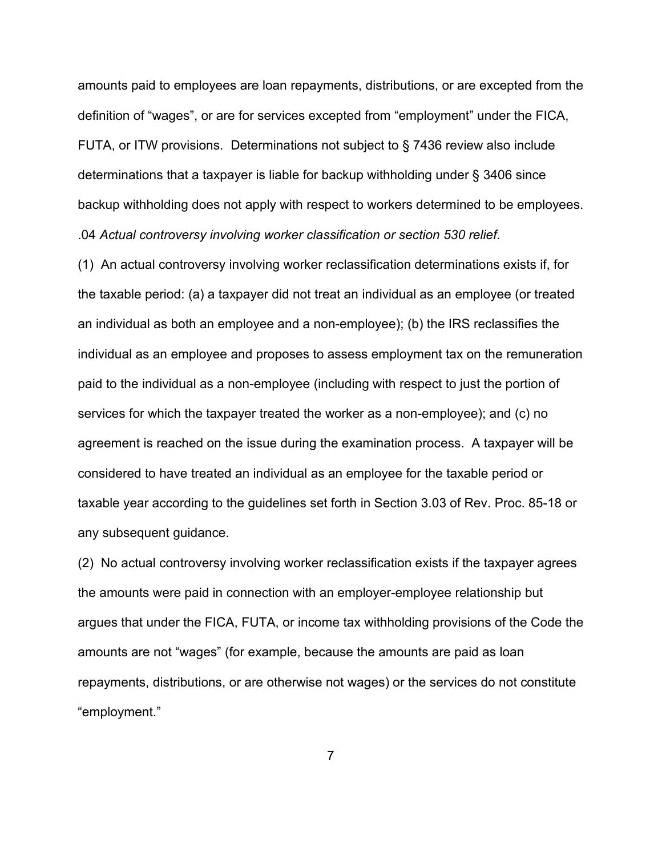amounts paid to employees are loan repayments, distributions, or are excepted from the definition of "wages", or are for services excepted from "employment" under the FICA, FUTA, or ITW provisions. Determinations not subject to § 7436 review also include determinations that a taxpayer is liable for backup withholding under § 3406 since backup withholding does not apply with respect to workers determined to be employees. .04 *Actual controversy involving worker classification or section 530 relief*.

(1) An actual controversy involving worker reclassification determinations exists if, for the taxable period: (a) a taxpayer did not treat an individual as an employee (or treated an individual as both an employee and a non-employee); (b) the IRS reclassifies the individual as an employee and proposes to assess employment tax on the remuneration paid to the individual as a non-employee (including with respect to just the portion of services for which the taxpayer treated the worker as a non-employee); and (c) no agreement is reached on the issue during the examination process. A taxpayer will be considered to have treated an individual as an employee for the taxable period or taxable year according to the guidelines set forth in Section 3.03 of Rev. Proc. 85-18 or any subsequent guidance.

(2) No actual controversy involving worker reclassification exists if the taxpayer agrees the amounts were paid in connection with an employer-employee relationship but argues that under the FICA, FUTA, or income tax withholding provisions of the Code the amounts are not "wages" (for example, because the amounts are paid as loan repayments, distributions, or are otherwise not wages) or the services do not constitute "employment."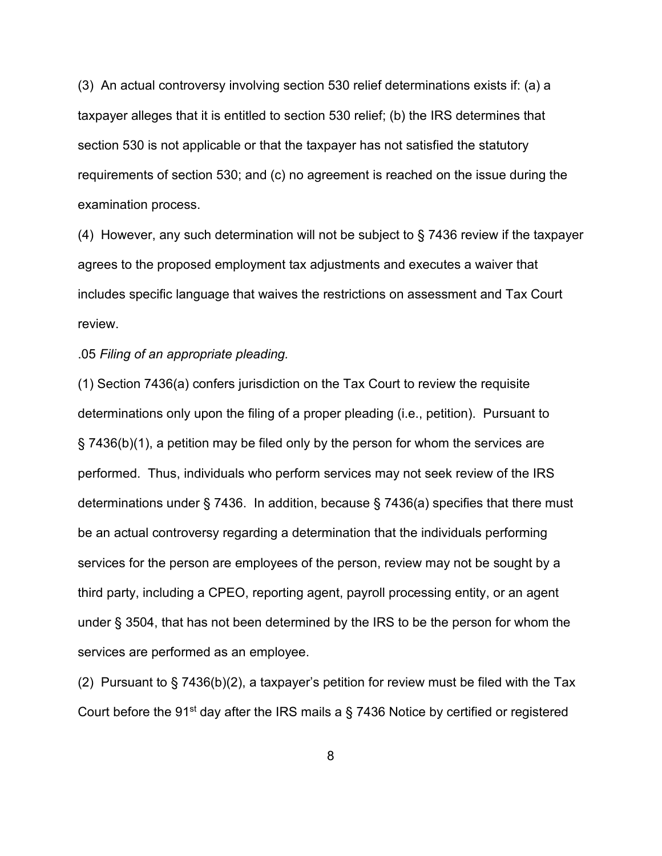(3) An actual controversy involving section 530 relief determinations exists if: (a) a taxpayer alleges that it is entitled to section 530 relief; (b) the IRS determines that section 530 is not applicable or that the taxpayer has not satisfied the statutory requirements of section 530; and (c) no agreement is reached on the issue during the examination process.

(4) However, any such determination will not be subject to § 7436 review if the taxpayer agrees to the proposed employment tax adjustments and executes a waiver that includes specific language that waives the restrictions on assessment and Tax Court review.

### .05 *Filing of an appropriate pleading.*

(1) Section 7436(a) confers jurisdiction on the Tax Court to review the requisite determinations only upon the filing of a proper pleading (i.e., petition). Pursuant to § 7436(b)(1), a petition may be filed only by the person for whom the services are performed. Thus, individuals who perform services may not seek review of the IRS determinations under § 7436. In addition, because § 7436(a) specifies that there must be an actual controversy regarding a determination that the individuals performing services for the person are employees of the person, review may not be sought by a third party, including a CPEO, reporting agent, payroll processing entity, or an agent under § 3504, that has not been determined by the IRS to be the person for whom the services are performed as an employee.

(2) Pursuant to  $\S$  7436(b)(2), a taxpayer's petition for review must be filed with the Tax Court before the 91<sup>st</sup> day after the IRS mails a  $\S$  7436 Notice by certified or registered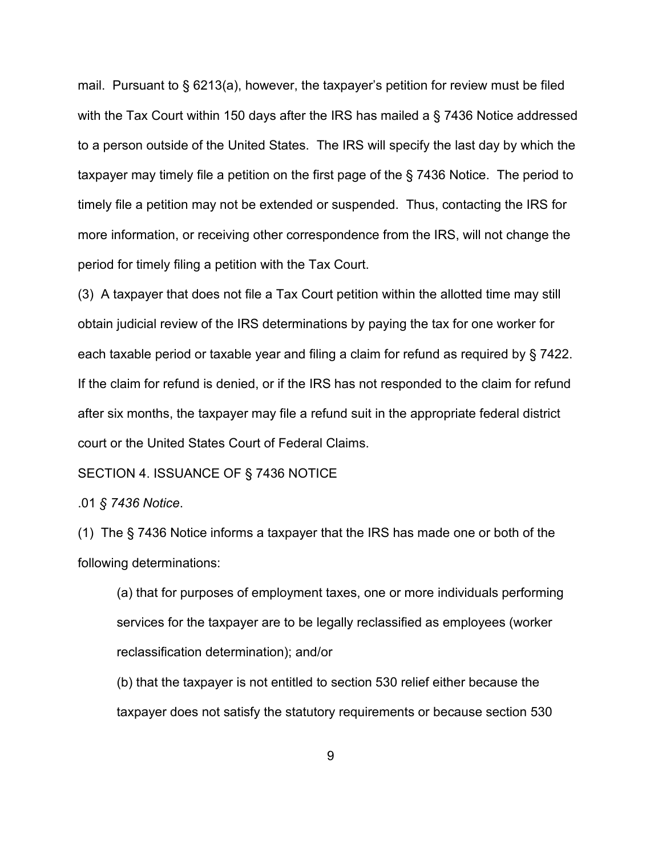mail. Pursuant to § 6213(a), however, the taxpayer's petition for review must be filed with the Tax Court within 150 days after the IRS has mailed a § 7436 Notice addressed to a person outside of the United States. The IRS will specify the last day by which the taxpayer may timely file a petition on the first page of the § 7436 Notice. The period to timely file a petition may not be extended or suspended. Thus, contacting the IRS for more information, or receiving other correspondence from the IRS, will not change the period for timely filing a petition with the Tax Court.

(3) A taxpayer that does not file a Tax Court petition within the allotted time may still obtain judicial review of the IRS determinations by paying the tax for one worker for each taxable period or taxable year and filing a claim for refund as required by § 7422. If the claim for refund is denied, or if the IRS has not responded to the claim for refund after six months, the taxpayer may file a refund suit in the appropriate federal district court or the United States Court of Federal Claims.

### SECTION 4. ISSUANCE OF § 7436 NOTICE

.01 *§ 7436 Notice*.

(1) The § 7436 Notice informs a taxpayer that the IRS has made one or both of the following determinations:

(a) that for purposes of employment taxes, one or more individuals performing services for the taxpayer are to be legally reclassified as employees (worker reclassification determination); and/or

(b) that the taxpayer is not entitled to section 530 relief either because the taxpayer does not satisfy the statutory requirements or because section 530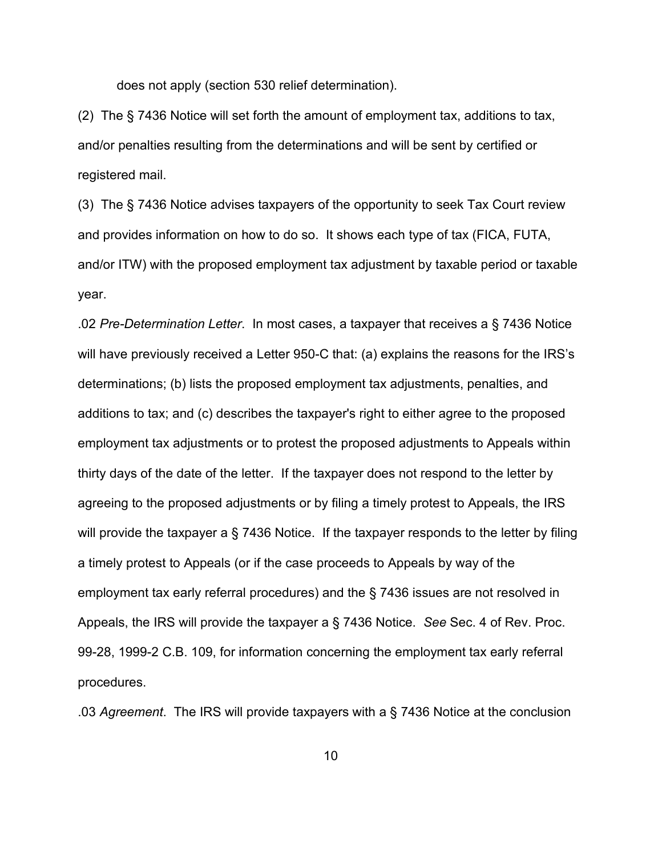does not apply (section 530 relief determination).

(2) The § 7436 Notice will set forth the amount of employment tax, additions to tax, and/or penalties resulting from the determinations and will be sent by certified or registered mail.

(3) The § 7436 Notice advises taxpayers of the opportunity to seek Tax Court review and provides information on how to do so. It shows each type of tax (FICA, FUTA, and/or ITW) with the proposed employment tax adjustment by taxable period or taxable year.

.02 *Pre-Determination Letter*. In most cases, a taxpayer that receives a § 7436 Notice will have previously received a Letter 950-C that: (a) explains the reasons for the IRS's determinations; (b) lists the proposed employment tax adjustments, penalties, and additions to tax; and (c) describes the taxpayer's right to either agree to the proposed employment tax adjustments or to protest the proposed adjustments to Appeals within thirty days of the date of the letter. If the taxpayer does not respond to the letter by agreeing to the proposed adjustments or by filing a timely protest to Appeals, the IRS will provide the taxpayer a § 7436 Notice. If the taxpayer responds to the letter by filing a timely protest to Appeals (or if the case proceeds to Appeals by way of the employment tax early referral procedures) and the § 7436 issues are not resolved in Appeals, the IRS will provide the taxpayer a § 7436 Notice. *See* Sec. 4 of Rev. Proc. 99-28, 1999-2 C.B. 109, for information concerning the employment tax early referral procedures.

.03 *Agreement*. The IRS will provide taxpayers with a § 7436 Notice at the conclusion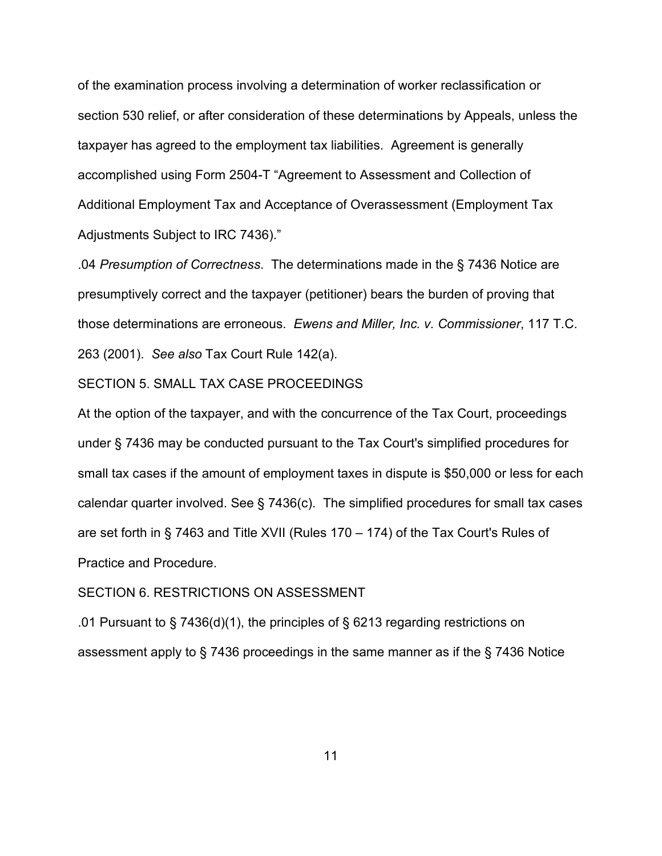of the examination process involving a determination of worker reclassification or section 530 relief, or after consideration of these determinations by Appeals, unless the taxpayer has agreed to the employment tax liabilities. Agreement is generally accomplished using Form 2504-T "Agreement to Assessment and Collection of Additional Employment Tax and Acceptance of Overassessment (Employment Tax Adjustments Subject to IRC 7436)."

.04 *Presumption of Correctness*. The determinations made in the § 7436 Notice are presumptively correct and the taxpayer (petitioner) bears the burden of proving that those determinations are erroneous. *Ewens and Miller, Inc. v. Commissioner*, 117 T.C. 263 (2001). *See also* Tax Court Rule 142(a).

# SECTION 5. SMALL TAX CASE PROCEEDINGS

At the option of the taxpayer, and with the concurrence of the Tax Court, proceedings under § 7436 may be conducted pursuant to the Tax Court's simplified procedures for small tax cases if the amount of employment taxes in dispute is \$50,000 or less for each calendar quarter involved. See § 7436(c). The simplified procedures for small tax cases are set forth in § 7463 and Title XVII (Rules 170 – 174) of the Tax Court's Rules of Practice and Procedure.

# SECTION 6. RESTRICTIONS ON ASSESSMENT

.01 Pursuant to § 7436(d)(1), the principles of § 6213 regarding restrictions on assessment apply to § 7436 proceedings in the same manner as if the § 7436 Notice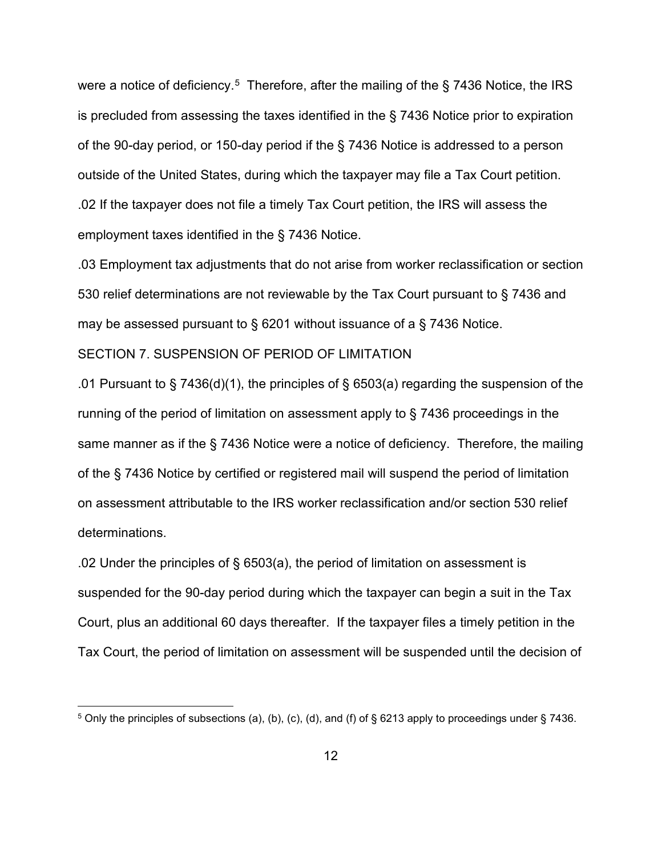were a notice of deficiency.<sup>[5](#page-11-0)</sup> Therefore, after the mailing of the  $\S$  7436 Notice, the IRS is precluded from assessing the taxes identified in the § 7436 Notice prior to expiration of the 90-day period, or 150-day period if the § 7436 Notice is addressed to a person outside of the United States, during which the taxpayer may file a Tax Court petition. .02 If the taxpayer does not file a timely Tax Court petition, the IRS will assess the employment taxes identified in the § 7436 Notice.

.03 Employment tax adjustments that do not arise from worker reclassification or section 530 relief determinations are not reviewable by the Tax Court pursuant to § 7436 and may be assessed pursuant to § 6201 without issuance of a § 7436 Notice.

### SECTION 7. SUSPENSION OF PERIOD OF LIMITATION

.01 Pursuant to § 7436(d)(1), the principles of § 6503(a) regarding the suspension of the running of the period of limitation on assessment apply to § 7436 proceedings in the same manner as if the § 7436 Notice were a notice of deficiency. Therefore, the mailing of the § 7436 Notice by certified or registered mail will suspend the period of limitation on assessment attributable to the IRS worker reclassification and/or section 530 relief determinations.

.02 Under the principles of § 6503(a), the period of limitation on assessment is suspended for the 90-day period during which the taxpayer can begin a suit in the Tax Court, plus an additional 60 days thereafter. If the taxpayer files a timely petition in the Tax Court, the period of limitation on assessment will be suspended until the decision of

<span id="page-11-0"></span> $5$  Only the principles of subsections (a), (b), (c), (d), and (f) of § 6213 apply to proceedings under § 7436.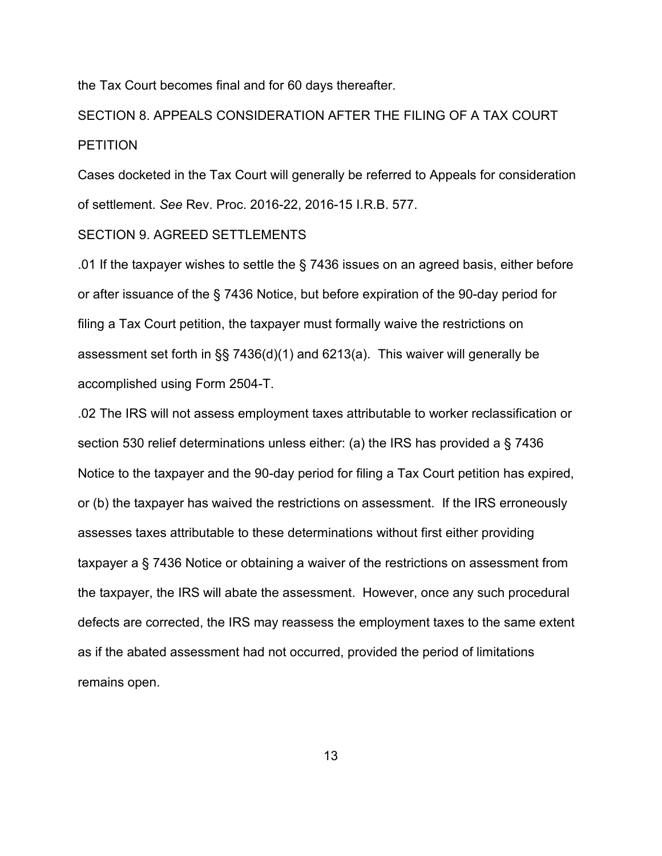the Tax Court becomes final and for 60 days thereafter.

SECTION 8. APPEALS CONSIDERATION AFTER THE FILING OF A TAX COURT **PETITION** 

Cases docketed in the Tax Court will generally be referred to Appeals for consideration of settlement. *See* Rev. Proc. 2016-22, 2016-15 I.R.B. 577.

# SECTION 9. AGREED SETTLEMENTS

.01 If the taxpayer wishes to settle the § 7436 issues on an agreed basis, either before or after issuance of the § 7436 Notice, but before expiration of the 90-day period for filing a Tax Court petition, the taxpayer must formally waive the restrictions on assessment set forth in §§ 7436(d)(1) and 6213(a). This waiver will generally be accomplished using Form 2504-T.

.02 The IRS will not assess employment taxes attributable to worker reclassification or section 530 relief determinations unless either: (a) the IRS has provided a § 7436 Notice to the taxpayer and the 90-day period for filing a Tax Court petition has expired, or (b) the taxpayer has waived the restrictions on assessment. If the IRS erroneously assesses taxes attributable to these determinations without first either providing taxpayer a § 7436 Notice or obtaining a waiver of the restrictions on assessment from the taxpayer, the IRS will abate the assessment. However, once any such procedural defects are corrected, the IRS may reassess the employment taxes to the same extent as if the abated assessment had not occurred, provided the period of limitations remains open.